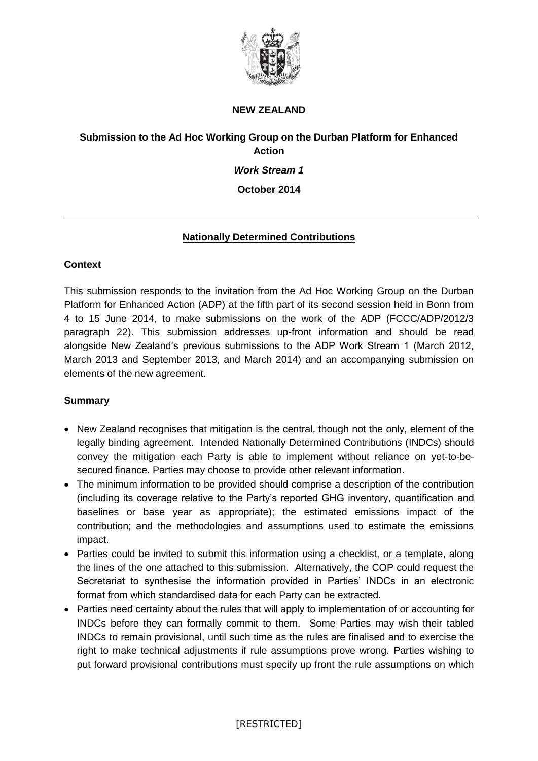

#### **NEW ZEALAND**

## **Submission to the Ad Hoc Working Group on the Durban Platform for Enhanced Action**

#### *Work Stream 1*

#### **October 2014**

## **Nationally Determined Contributions**

## **Context**

This submission responds to the invitation from the Ad Hoc Working Group on the Durban Platform for Enhanced Action (ADP) at the fifth part of its second session held in Bonn from 4 to 15 June 2014, to make submissions on the work of the ADP (FCCC/ADP/2012/3 paragraph 22). This submission addresses up-front information and should be read alongside New Zealand's previous submissions to the ADP Work Stream 1 (March 2012, March 2013 and September 2013, and March 2014) and an accompanying submission on elements of the new agreement.

#### **Summary**

- New Zealand recognises that mitigation is the central, though not the only, element of the legally binding agreement. Intended Nationally Determined Contributions (INDCs) should convey the mitigation each Party is able to implement without reliance on yet-to-besecured finance. Parties may choose to provide other relevant information.
- The minimum information to be provided should comprise a description of the contribution (including its coverage relative to the Party's reported GHG inventory, quantification and baselines or base year as appropriate); the estimated emissions impact of the contribution; and the methodologies and assumptions used to estimate the emissions impact.
- Parties could be invited to submit this information using a checklist, or a template, along the lines of the one attached to this submission. Alternatively, the COP could request the Secretariat to synthesise the information provided in Parties' INDCs in an electronic format from which standardised data for each Party can be extracted.
- Parties need certainty about the rules that will apply to implementation of or accounting for INDCs before they can formally commit to them. Some Parties may wish their tabled INDCs to remain provisional, until such time as the rules are finalised and to exercise the right to make technical adjustments if rule assumptions prove wrong. Parties wishing to put forward provisional contributions must specify up front the rule assumptions on which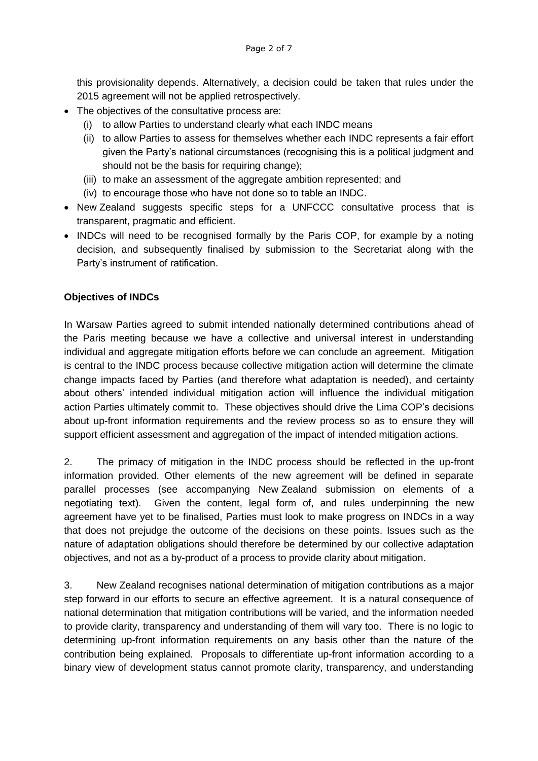this provisionality depends. Alternatively, a decision could be taken that rules under the 2015 agreement will not be applied retrospectively.

- The objectives of the consultative process are:
	- (i) to allow Parties to understand clearly what each INDC means
	- (ii) to allow Parties to assess for themselves whether each INDC represents a fair effort given the Party's national circumstances (recognising this is a political judgment and should not be the basis for requiring change);
	- (iii) to make an assessment of the aggregate ambition represented; and
	- (iv) to encourage those who have not done so to table an INDC.
- New Zealand suggests specific steps for a UNFCCC consultative process that is transparent, pragmatic and efficient.
- INDCs will need to be recognised formally by the Paris COP, for example by a noting decision, and subsequently finalised by submission to the Secretariat along with the Party's instrument of ratification.

### **Objectives of INDCs**

In Warsaw Parties agreed to submit intended nationally determined contributions ahead of the Paris meeting because we have a collective and universal interest in understanding individual and aggregate mitigation efforts before we can conclude an agreement. Mitigation is central to the INDC process because collective mitigation action will determine the climate change impacts faced by Parties (and therefore what adaptation is needed), and certainty about others' intended individual mitigation action will influence the individual mitigation action Parties ultimately commit to. These objectives should drive the Lima COP's decisions about up-front information requirements and the review process so as to ensure they will support efficient assessment and aggregation of the impact of intended mitigation actions.

2. The primacy of mitigation in the INDC process should be reflected in the up-front information provided. Other elements of the new agreement will be defined in separate parallel processes (see accompanying New Zealand submission on elements of a negotiating text). Given the content, legal form of, and rules underpinning the new agreement have yet to be finalised, Parties must look to make progress on INDCs in a way that does not prejudge the outcome of the decisions on these points. Issues such as the nature of adaptation obligations should therefore be determined by our collective adaptation objectives, and not as a by-product of a process to provide clarity about mitigation.

3. New Zealand recognises national determination of mitigation contributions as a major step forward in our efforts to secure an effective agreement. It is a natural consequence of national determination that mitigation contributions will be varied, and the information needed to provide clarity, transparency and understanding of them will vary too. There is no logic to determining up-front information requirements on any basis other than the nature of the contribution being explained. Proposals to differentiate up-front information according to a binary view of development status cannot promote clarity, transparency, and understanding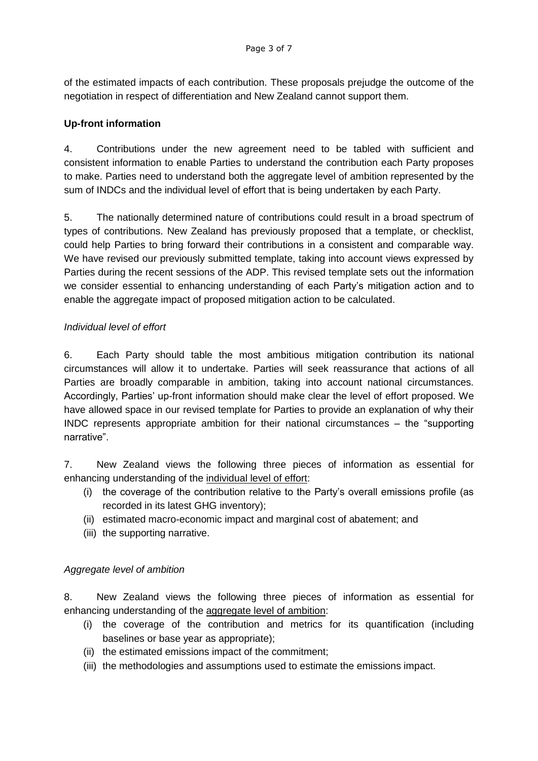of the estimated impacts of each contribution. These proposals prejudge the outcome of the negotiation in respect of differentiation and New Zealand cannot support them.

### **Up-front information**

4. Contributions under the new agreement need to be tabled with sufficient and consistent information to enable Parties to understand the contribution each Party proposes to make. Parties need to understand both the aggregate level of ambition represented by the sum of INDCs and the individual level of effort that is being undertaken by each Party.

5. The nationally determined nature of contributions could result in a broad spectrum of types of contributions. New Zealand has previously proposed that a template, or checklist, could help Parties to bring forward their contributions in a consistent and comparable way. We have revised our previously submitted template, taking into account views expressed by Parties during the recent sessions of the ADP. This revised template sets out the information we consider essential to enhancing understanding of each Party's mitigation action and to enable the aggregate impact of proposed mitigation action to be calculated.

### *Individual level of effort*

6. Each Party should table the most ambitious mitigation contribution its national circumstances will allow it to undertake. Parties will seek reassurance that actions of all Parties are broadly comparable in ambition, taking into account national circumstances. Accordingly, Parties' up-front information should make clear the level of effort proposed. We have allowed space in our revised template for Parties to provide an explanation of why their INDC represents appropriate ambition for their national circumstances – the "supporting narrative".

7. New Zealand views the following three pieces of information as essential for enhancing understanding of the individual level of effort:

- (i) the coverage of the contribution relative to the Party's overall emissions profile (as recorded in its latest GHG inventory);
- (ii) estimated macro-economic impact and marginal cost of abatement; and
- (iii) the supporting narrative.

## *Aggregate level of ambition*

8. New Zealand views the following three pieces of information as essential for enhancing understanding of the aggregate level of ambition:

- (i) the coverage of the contribution and metrics for its quantification (including baselines or base year as appropriate);
- (ii) the estimated emissions impact of the commitment;
- (iii) the methodologies and assumptions used to estimate the emissions impact.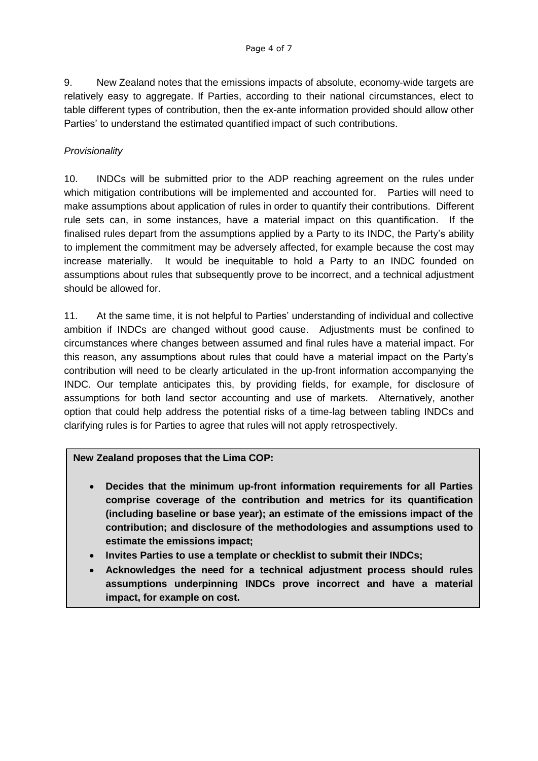9. New Zealand notes that the emissions impacts of absolute, economy-wide targets are relatively easy to aggregate. If Parties, according to their national circumstances, elect to table different types of contribution, then the ex-ante information provided should allow other Parties' to understand the estimated quantified impact of such contributions.

### *Provisionality*

10. INDCs will be submitted prior to the ADP reaching agreement on the rules under which mitigation contributions will be implemented and accounted for. Parties will need to make assumptions about application of rules in order to quantify their contributions. Different rule sets can, in some instances, have a material impact on this quantification. If the finalised rules depart from the assumptions applied by a Party to its INDC, the Party's ability to implement the commitment may be adversely affected, for example because the cost may increase materially. It would be inequitable to hold a Party to an INDC founded on assumptions about rules that subsequently prove to be incorrect, and a technical adjustment should be allowed for.

11. At the same time, it is not helpful to Parties' understanding of individual and collective ambition if INDCs are changed without good cause. Adjustments must be confined to circumstances where changes between assumed and final rules have a material impact. For this reason, any assumptions about rules that could have a material impact on the Party's contribution will need to be clearly articulated in the up-front information accompanying the INDC. Our template anticipates this, by providing fields, for example, for disclosure of assumptions for both land sector accounting and use of markets. Alternatively, another option that could help address the potential risks of a time-lag between tabling INDCs and clarifying rules is for Parties to agree that rules will not apply retrospectively.

#### **New Zealand proposes that the Lima COP:**

- **Decides that the minimum up-front information requirements for all Parties comprise coverage of the contribution and metrics for its quantification (including baseline or base year); an estimate of the emissions impact of the contribution; and disclosure of the methodologies and assumptions used to estimate the emissions impact;**
- **Invites Parties to use a template or checklist to submit their INDCs;**
- **Acknowledges the need for a technical adjustment process should rules assumptions underpinning INDCs prove incorrect and have a material impact, for example on cost.**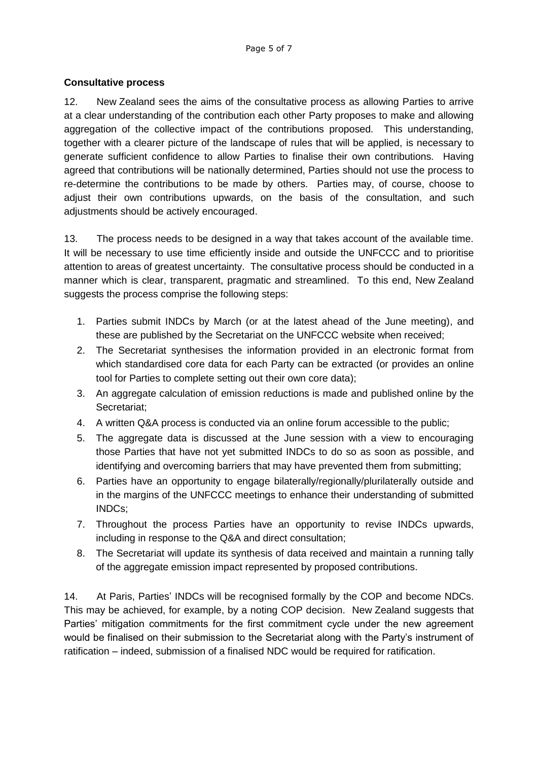## **Consultative process**

12. New Zealand sees the aims of the consultative process as allowing Parties to arrive at a clear understanding of the contribution each other Party proposes to make and allowing aggregation of the collective impact of the contributions proposed. This understanding, together with a clearer picture of the landscape of rules that will be applied, is necessary to generate sufficient confidence to allow Parties to finalise their own contributions. Having agreed that contributions will be nationally determined, Parties should not use the process to re-determine the contributions to be made by others. Parties may, of course, choose to adjust their own contributions upwards, on the basis of the consultation, and such adjustments should be actively encouraged.

13. The process needs to be designed in a way that takes account of the available time. It will be necessary to use time efficiently inside and outside the UNFCCC and to prioritise attention to areas of greatest uncertainty. The consultative process should be conducted in a manner which is clear, transparent, pragmatic and streamlined. To this end, New Zealand suggests the process comprise the following steps:

- 1. Parties submit INDCs by March (or at the latest ahead of the June meeting), and these are published by the Secretariat on the UNFCCC website when received;
- 2. The Secretariat synthesises the information provided in an electronic format from which standardised core data for each Party can be extracted (or provides an online tool for Parties to complete setting out their own core data);
- 3. An aggregate calculation of emission reductions is made and published online by the Secretariat;
- 4. A written Q&A process is conducted via an online forum accessible to the public;
- 5. The aggregate data is discussed at the June session with a view to encouraging those Parties that have not yet submitted INDCs to do so as soon as possible, and identifying and overcoming barriers that may have prevented them from submitting;
- 6. Parties have an opportunity to engage bilaterally/regionally/plurilaterally outside and in the margins of the UNFCCC meetings to enhance their understanding of submitted INDCs;
- 7. Throughout the process Parties have an opportunity to revise INDCs upwards, including in response to the Q&A and direct consultation;
- 8. The Secretariat will update its synthesis of data received and maintain a running tally of the aggregate emission impact represented by proposed contributions.

14. At Paris, Parties' INDCs will be recognised formally by the COP and become NDCs. This may be achieved, for example, by a noting COP decision. New Zealand suggests that Parties' mitigation commitments for the first commitment cycle under the new agreement would be finalised on their submission to the Secretariat along with the Party's instrument of ratification – indeed, submission of a finalised NDC would be required for ratification.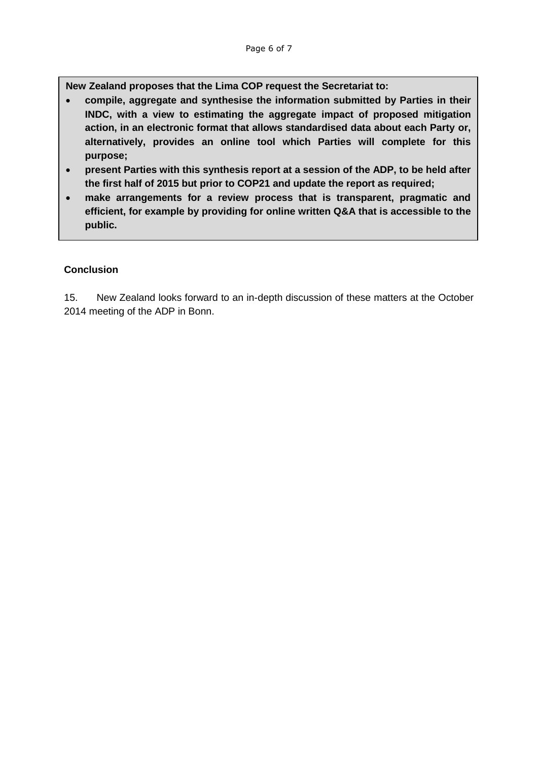**New Zealand proposes that the Lima COP request the Secretariat to:** 

- **compile, aggregate and synthesise the information submitted by Parties in their INDC, with a view to estimating the aggregate impact of proposed mitigation action, in an electronic format that allows standardised data about each Party or, alternatively, provides an online tool which Parties will complete for this purpose;**
- **present Parties with this synthesis report at a session of the ADP, to be held after the first half of 2015 but prior to COP21 and update the report as required;**
- **make arrangements for a review process that is transparent, pragmatic and efficient, for example by providing for online written Q&A that is accessible to the public.**

### **Conclusion**

15. New Zealand looks forward to an in-depth discussion of these matters at the October 2014 meeting of the ADP in Bonn.